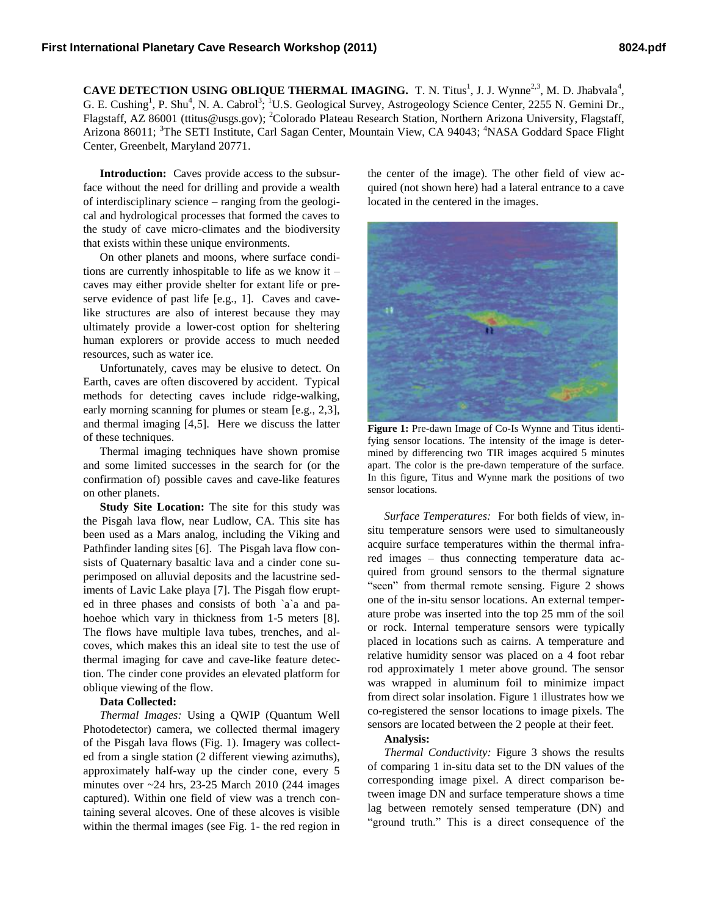**CAVE DETECTION USING OBLIQUE THERMAL IMAGING.** T. N. Titus<sup>1</sup>, J. J. Wynne<sup>2,3</sup>, M. D. Jhabvala<sup>4</sup>, G. E. Cushing<sup>1</sup>, P. Shu<sup>4</sup>, N. A. Cabrol<sup>3</sup>; <sup>1</sup>U.S. Geological Survey, Astrogeology Science Center, 2255 N. Gemini Dr., Flagstaff, AZ 86001 (ttitus@usgs.gov); <sup>2</sup>Colorado Plateau Research Station, Northern Arizona University, Flagstaff, Arizona 86011; <sup>3</sup>The SETI Institute, Carl Sagan Center, Mountain View, CA 94043; <sup>4</sup>NASA Goddard Space Flight Center, Greenbelt, Maryland 20771.

**Introduction:** Caves provide access to the subsurface without the need for drilling and provide a wealth of interdisciplinary science – ranging from the geological and hydrological processes that formed the caves to the study of cave micro-climates and the biodiversity that exists within these unique environments.

On other planets and moons, where surface conditions are currently inhospitable to life as we know it – caves may either provide shelter for extant life or preserve evidence of past life [e.g., 1]. Caves and cavelike structures are also of interest because they may ultimately provide a lower-cost option for sheltering human explorers or provide access to much needed resources, such as water ice.

Unfortunately, caves may be elusive to detect. On Earth, caves are often discovered by accident. Typical methods for detecting caves include ridge-walking, early morning scanning for plumes or steam [e.g., 2,3], and thermal imaging [4,5]. Here we discuss the latter of these techniques.

Thermal imaging techniques have shown promise and some limited successes in the search for (or the confirmation of) possible caves and cave-like features on other planets.

**Study Site Location:** The site for this study was the Pisgah lava flow, near Ludlow, CA. This site has been used as a Mars analog, including the Viking and Pathfinder landing sites [6]. The Pisgah lava flow consists of Quaternary basaltic lava and a cinder cone superimposed on alluvial deposits and the lacustrine sediments of Lavic Lake playa [7]. The Pisgah flow erupted in three phases and consists of both `a`a and pahoehoe which vary in thickness from 1-5 meters [8]. The flows have multiple lava tubes, trenches, and alcoves, which makes this an ideal site to test the use of thermal imaging for cave and cave-like feature detection. The cinder cone provides an elevated platform for oblique viewing of the flow.

## **Data Collected:**

*Thermal Images:* Using a QWIP (Quantum Well Photodetector) camera, we collected thermal imagery of the Pisgah lava flows (Fig. 1). Imagery was collected from a single station (2 different viewing azimuths), approximately half-way up the cinder cone, every 5 minutes over ~24 hrs, 23-25 March 2010 (244 images captured). Within one field of view was a trench containing several alcoves. One of these alcoves is visible within the thermal images (see Fig. 1- the red region in the center of the image). The other field of view acquired (not shown here) had a lateral entrance to a cave located in the centered in the images.



Figure 1: Pre-dawn Image of Co-Is Wynne and Titus identifying sensor locations. The intensity of the image is determined by differencing two TIR images acquired 5 minutes apart. The color is the pre-dawn temperature of the surface. In this figure, Titus and Wynne mark the positions of two sensor locations.

*Surface Temperatures:* For both fields of view*,* insitu temperature sensors were used to simultaneously acquire surface temperatures within the thermal infrared images – thus connecting temperature data acquired from ground sensors to the thermal signature "seen" from thermal remote sensing. Figure 2 shows one of the in-situ sensor locations. An external temperature probe was inserted into the top 25 mm of the soil or rock. Internal temperature sensors were typically placed in locations such as cairns. A temperature and relative humidity sensor was placed on a 4 foot rebar rod approximately 1 meter above ground. The sensor was wrapped in aluminum foil to minimize impact from direct solar insolation. Figure 1 illustrates how we co-registered the sensor locations to image pixels. The sensors are located between the 2 people at their feet.

## **Analysis:**

*Thermal Conductivity:* Figure 3 shows the results of comparing 1 in-situ data set to the DN values of the corresponding image pixel. A direct comparison between image DN and surface temperature shows a time lag between remotely sensed temperature (DN) and "ground truth." This is a direct consequence of the